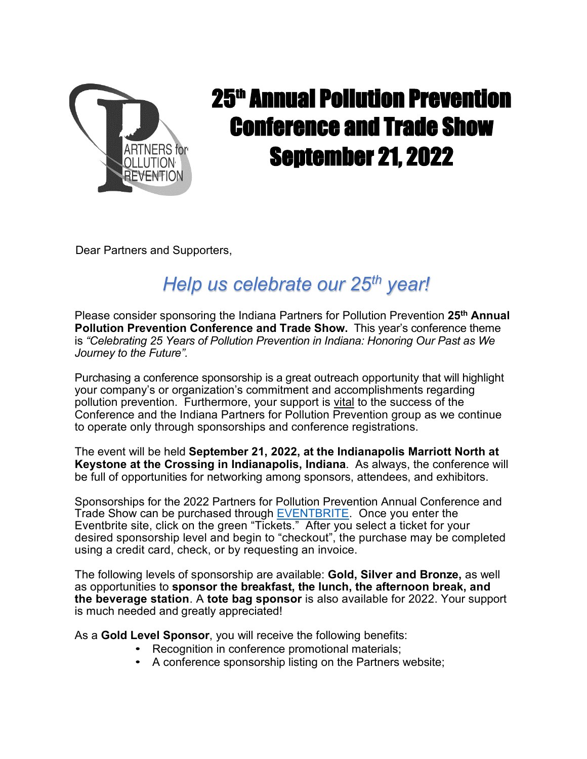

## 25<sup>th</sup> Annual Pollution Prevention Conference and Trade Show September 21, 2022

Dear Partners and Supporters,

## *Help us celebrate our 25th year!*

Please consider sponsoring the Indiana Partners for Pollution Prevention **25th Annual Pollution Prevention Conference and Trade Show.** This year's conference theme is *"Celebrating 25 Years of Pollution Prevention in Indiana: Honoring Our Past as We Journey to the Future".* 

Purchasing a conference sponsorship is a great outreach opportunity that will highlight your company's or organization's commitment and accomplishments regarding pollution prevention. Furthermore, your support is vital to the success of the Conference and the Indiana Partners for Pollution Prevention group as we continue to operate only through sponsorships and conference registrations.

The event will be held **September 21, 2022, at the Indianapolis Marriott North at Keystone at the Crossing in Indianapolis, Indiana**. As always, the conference will be full of opportunities for networking among sponsors, attendees, and exhibitors.

Sponsorships for the 2022 Partners for Pollution Prevention Annual Conference and Trade Show can be purchased through [EVENTBRITE.](https://www.eventbrite.com/e/25th-annual-pollution-prevention-conference-and-trade-show-tickets-320383825647) Once you enter the Eventbrite site, click on the green "Tickets." After you select a ticket for your desired sponsorship level and begin to "checkout", the purchase may be completed using a credit card, check, or by requesting an invoice.

The following levels of sponsorship are available: **Gold, Silver and Bronze,** as well as opportunities to **sponsor the breakfast, the lunch, the afternoon break, and the beverage station**. A **tote bag sponsor** is also available for 2022. Your support is much needed and greatly appreciated!

As a **Gold Level Sponsor**, you will receive the following benefits:

- Recognition in conference promotional materials;
- A conference sponsorship listing on the Partners website;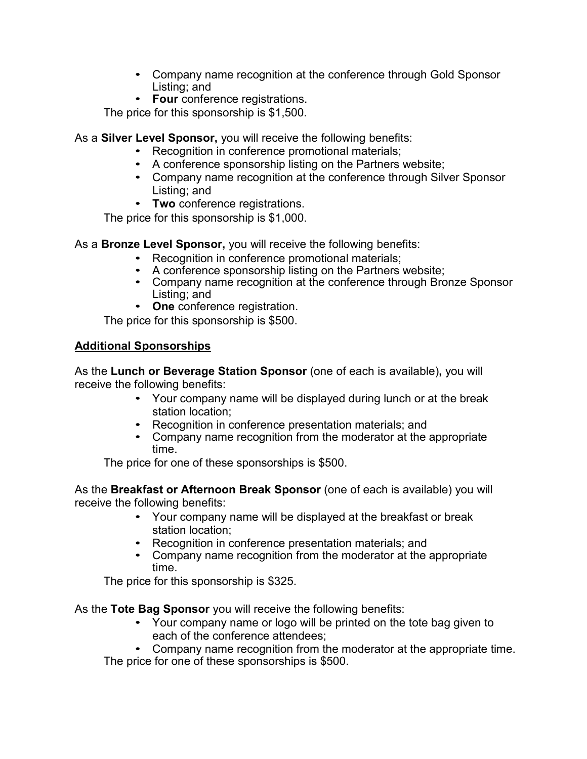- Company name recognition at the conference through Gold Sponsor Listing; and
- **Four** conference registrations.

The price for this sponsorship is \$1,500.

As a **Silver Level Sponsor,** you will receive the following benefits:

- Recognition in conference promotional materials;
- A conference sponsorship listing on the Partners website;
- Company name recognition at the conference through Silver Sponsor Listing; and
- **Two** conference registrations.

The price for this sponsorship is \$1,000.

As a **Bronze Level Sponsor,** you will receive the following benefits:

- Recognition in conference promotional materials;
- A conference sponsorship listing on the Partners website;
- Company name recognition at the conference through Bronze Sponsor Listing; and
- **One** conference registration.

The price for this sponsorship is \$500.

## **Additional Sponsorships**

As the **Lunch or Beverage Station Sponsor** (one of each is available)**,** you will receive the following benefits:

- Your company name will be displayed during lunch or at the break station location;
- Recognition in conference presentation materials; and
- Company name recognition from the moderator at the appropriate time.

The price for one of these sponsorships is \$500.

As the **Breakfast or Afternoon Break Sponsor** (one of each is available) you will receive the following benefits:

- Your company name will be displayed at the breakfast or break station location;
- Recognition in conference presentation materials; and
- Company name recognition from the moderator at the appropriate time.

The price for this sponsorship is \$325.

As the **Tote Bag Sponsor** you will receive the following benefits:

- Your company name or logo will be printed on the tote bag given to each of the conference attendees;
- Company name recognition from the moderator at the appropriate time. The price for one of these sponsorships is \$500.